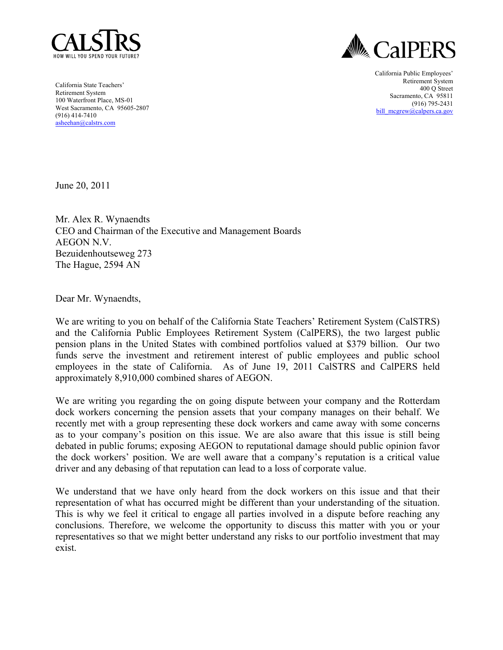



California State Teachers' Retirement System 100 Waterfront Place, MS-01 West Sacramento, CA 95605-2807 (916) 414-7410 asheehan@calstrs.com

California Public Employees' Retirement System 400 Q Street Sacramento, CA 95811 (916) 795-2431 bill\_mcgrew@calpers.ca.gov

June 20, 2011

Mr. Alex R. Wynaendts CEO and Chairman of the Executive and Management Boards AEGON N.V. Bezuidenhoutseweg 273 The Hague, 2594 AN

Dear Mr. Wynaendts,

We are writing to you on behalf of the California State Teachers' Retirement System (CalSTRS) and the California Public Employees Retirement System (CalPERS), the two largest public pension plans in the United States with combined portfolios valued at \$379 billion. Our two funds serve the investment and retirement interest of public employees and public school employees in the state of California. As of June 19, 2011 CalSTRS and CalPERS held approximately 8,910,000 combined shares of AEGON.

We are writing you regarding the on going dispute between your company and the Rotterdam dock workers concerning the pension assets that your company manages on their behalf. We recently met with a group representing these dock workers and came away with some concerns as to your company's position on this issue. We are also aware that this issue is still being debated in public forums; exposing AEGON to reputational damage should public opinion favor the dock workers' position. We are well aware that a company's reputation is a critical value driver and any debasing of that reputation can lead to a loss of corporate value.

We understand that we have only heard from the dock workers on this issue and that their representation of what has occurred might be different than your understanding of the situation. This is why we feel it critical to engage all parties involved in a dispute before reaching any conclusions. Therefore, we welcome the opportunity to discuss this matter with you or your representatives so that we might better understand any risks to our portfolio investment that may exist.